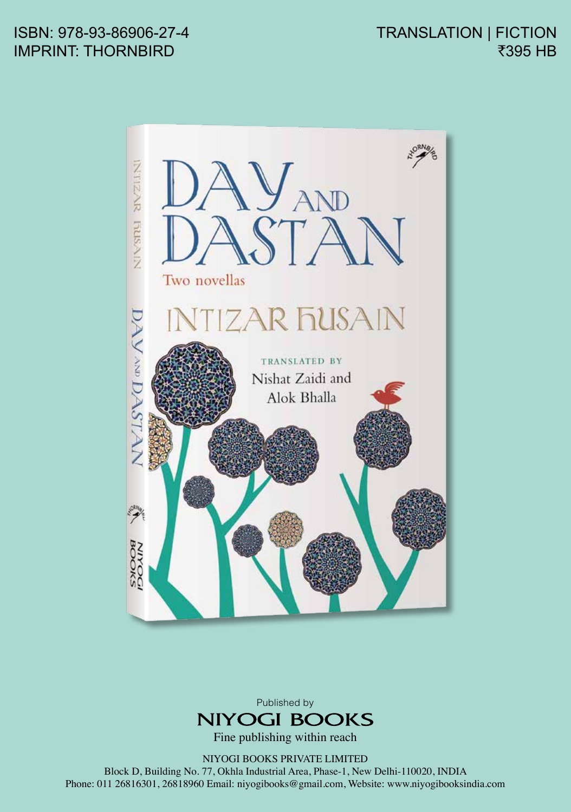## ISBN: 978-93-86906-27-4 IMPRINT: THORNBIRD

TRANSLATION | FICTION ₹395 HB





Fine publishing within reach

NIYOGI BOOKS PRIVATE LIMITED

Block D, Building No. 77, Okhla Industrial Area, Phase-1, New Delhi-110020, INDIA Phone: 011 26816301, 26818960 Email: niyogibooks@gmail.com, Website: www.niyogibooksindia.com